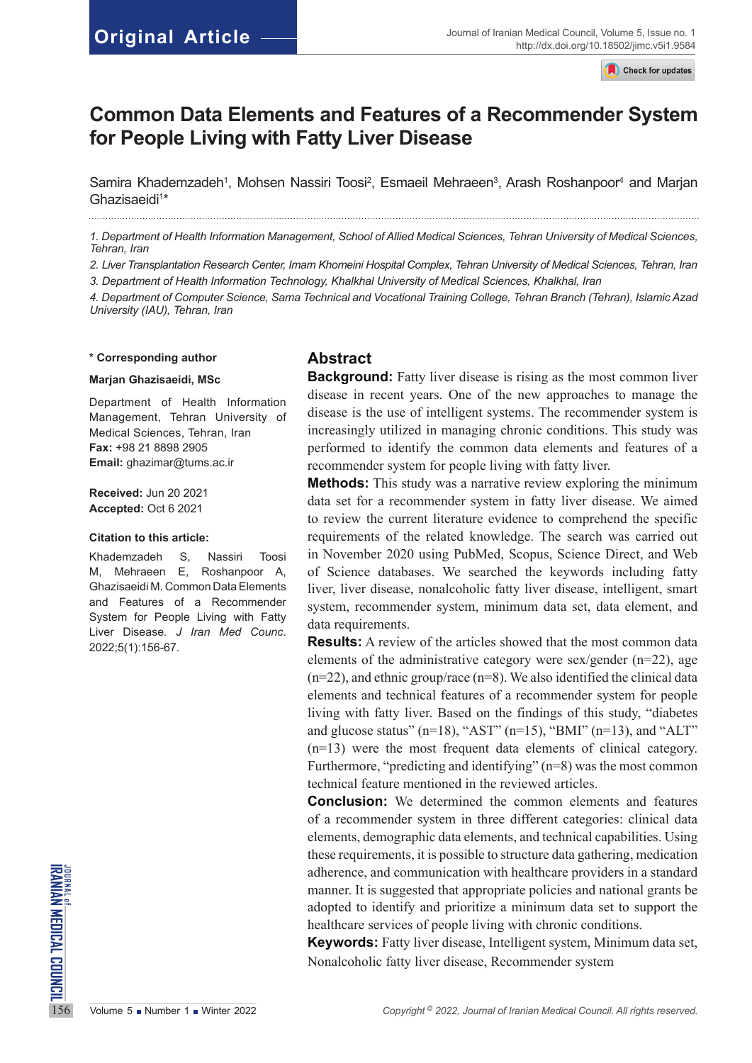Check for updates

# **Common Data Elements and Features of a Recommender System for People Living with Fatty Liver Disease**

Samira Khademzadeh<sup>1</sup>, Mohsen Nassiri Toosi<sup>2</sup>, Esmaeil Mehraeen<sup>3</sup>, Arash Roshanpoor<sup>4</sup> and Marjan Ghazisaeidi<sup>1\*</sup> 

*1. Department of Health Information Management, School of Allied Medical Sciences, Tehran University of Medical Sciences, Tehran, Iran* 

*2. Liver Transplantation Research Center, Imam Khomeini Hospital Complex, Tehran University of Medical Sciences, Tehran, Iran* 

*3. Department of Health Information Technology, Khalkhal University of Medical Sciences, Khalkhal, Iran* 

*4. Department of Computer Science, Sama Technical and Vocational Training College, Tehran Branch (Tehran), Islamic Azad University (IAU), Tehran, Iran*

#### **\* Corresponding author**

#### **Marjan Ghazisaeidi, MSc**

Department of Health Information Management, Tehran University of Medical Sciences, Tehran, Iran **Fax:** +98 21 8898 2905 **Email:** [ghazimar@tums.ac.ir](mailto:ghazimar@tums.ac.ir)

**Received:** Jun 20 2021 **Accepted:** Oct 6 2021

#### **Citation to this article:**

Khademzadeh S, Nassiri Toosi M, Mehraeen E, Roshanpoor A, Ghazisaeidi M. Common Data Elements and Features of a Recommender System for People Living with Fatty Liver Disease*. J Iran Med Counc*. 2022;5(1):156-67.

#### **Abstract**

**Background:** Fatty liver disease is rising as the most common liver disease in recent years. One of the new approaches to manage the disease is the use of intelligent systems. The recommender system is increasingly utilized in managing chronic conditions. This study was performed to identify the common data elements and features of a recommender system for people living with fatty liver.

**Methods:** This study was a narrative review exploring the minimum data set for a recommender system in fatty liver disease. We aimed to review the current literature evidence to comprehend the specific requirements of the related knowledge. The search was carried out in November 2020 using PubMed, Scopus, Science Direct, and Web of Science databases. We searched the keywords including fatty liver, liver disease, nonalcoholic fatty liver disease, intelligent, smart system, recommender system, minimum data set, data element, and data requirements.

**Results:** A review of the articles showed that the most common data elements of the administrative category were sex/gender  $(n=22)$ , age  $(n=22)$ , and ethnic group/race  $(n=8)$ . We also identified the clinical data elements and technical features of a recommender system for people living with fatty liver. Based on the findings of this study, "diabetes and glucose status" ( $n=18$ ), "AST" ( $n=15$ ), "BMI" ( $n=13$ ), and "ALT" (n=13) were the most frequent data elements of clinical category. Furthermore, "predicting and identifying" (n=8) was the most common technical feature mentioned in the reviewed articles.

156 Volume 5 ■ Number 1 ■ Winter 2022<br>
156 Volume 5 ■ Number 1 Winter 2022<br>
2022 *Copyright* <sup>0</sup> 2022, *Journal of Iranian Medical Council. All rights reserved.<br>
156 Volume 5 ■ Number 1 ■ Winter 2022<br>
2022 <i>Copyright* <sup>0</sup> **Conclusion:** We determined the common elements and features of a recommender system in three different categories: clinical data elements, demographic data elements, and technical capabilities. Using these requirements, it is possible to structure data gathering, medication adherence, and communication with healthcare providers in a standard manner. It is suggested that appropriate policies and national grants be adopted to identify and prioritize a minimum data set to support the healthcare services of people living with chronic conditions.

**Keywords:** Fatty liver disease, Intelligent system, Minimum data set, Nonalcoholic fatty liver disease, Recommender system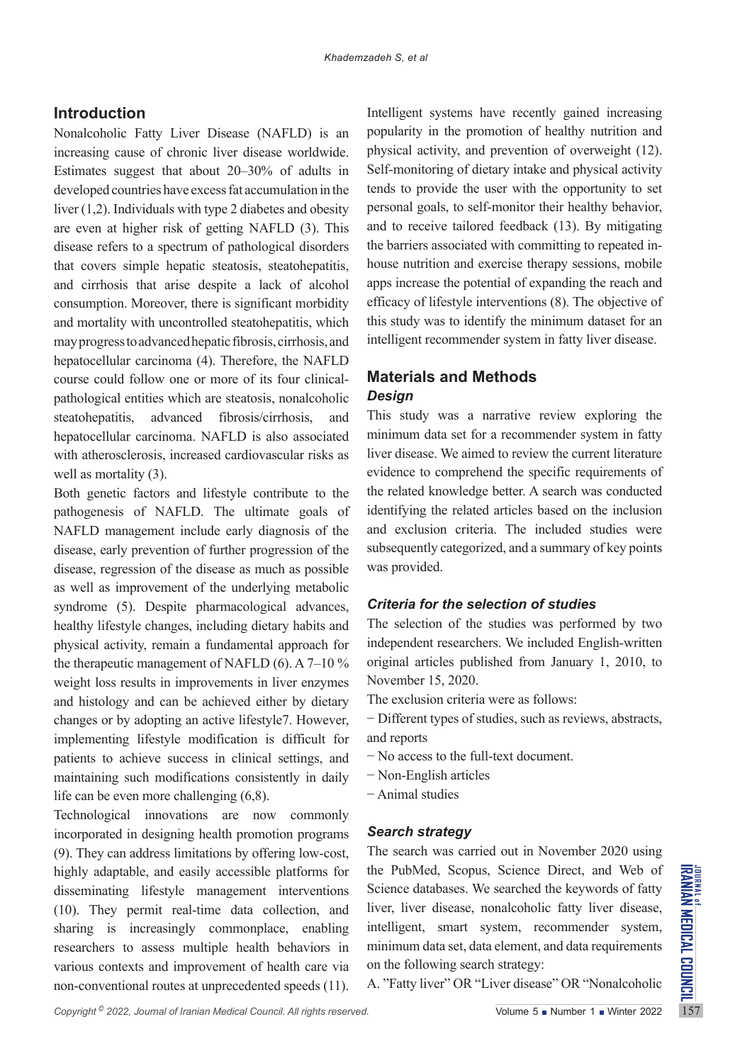# **Introduction**

Nonalcoholic Fatty Liver Disease (NAFLD) is an increasing cause of chronic liver disease worldwide. Estimates suggest that about 20–30% of adults in developed countries have excess fat accumulation in the liver (1,2). Individuals with type 2 diabetes and obesity are even at higher risk of getting NAFLD (3). This disease refers to a spectrum of pathological disorders that covers simple hepatic steatosis, steatohepatitis, and cirrhosis that arise despite a lack of alcohol consumption. Moreover, there is significant morbidity and mortality with uncontrolled steatohepatitis, which may progress to advanced hepatic fibrosis, cirrhosis, and hepatocellular carcinoma (4). Therefore, the NAFLD course could follow one or more of its four clinicalpathological entities which are steatosis, nonalcoholic steatohepatitis, advanced fibrosis/cirrhosis, and hepatocellular carcinoma. NAFLD is also associated with atherosclerosis, increased cardiovascular risks as well as mortality (3).

Both genetic factors and lifestyle contribute to the pathogenesis of NAFLD. The ultimate goals of NAFLD management include early diagnosis of the disease, early prevention of further progression of the disease, regression of the disease as much as possible as well as improvement of the underlying metabolic syndrome (5). Despite pharmacological advances, healthy lifestyle changes, including dietary habits and physical activity, remain a fundamental approach for the therapeutic management of NAFLD (6). A  $7-10\%$ weight loss results in improvements in liver enzymes and histology and can be achieved either by dietary changes or by adopting an active lifestyle7. However, implementing lifestyle modification is difficult for patients to achieve success in clinical settings, and maintaining such modifications consistently in daily life can be even more challenging (6,8).

Technological innovations are now commonly incorporated in designing health promotion programs (9). They can address limitations by offering low-cost, highly adaptable, and easily accessible platforms for disseminating lifestyle management interventions (10). They permit real-time data collection, and sharing is increasingly commonplace, enabling researchers to assess multiple health behaviors in various contexts and improvement of health care via non-conventional routes at unprecedented speeds (11).

Intelligent systems have recently gained increasing popularity in the promotion of healthy nutrition and physical activity, and prevention of overweight (12). Self-monitoring of dietary intake and physical activity tends to provide the user with the opportunity to set personal goals, to self-monitor their healthy behavior, and to receive tailored feedback (13). By mitigating the barriers associated with committing to repeated inhouse nutrition and exercise therapy sessions, mobile apps increase the potential of expanding the reach and efficacy of lifestyle interventions (8). The objective of this study was to identify the minimum dataset for an intelligent recommender system in fatty liver disease.

# **Materials and Methods** *Design*

This study was a narrative review exploring the minimum data set for a recommender system in fatty liver disease. We aimed to review the current literature evidence to comprehend the specific requirements of the related knowledge better. A search was conducted identifying the related articles based on the inclusion and exclusion criteria. The included studies were subsequently categorized, and a summary of key points was provided.

# *Criteria for the selection of studies*

The selection of the studies was performed by two independent researchers. We included English-written original articles published from January 1, 2010, to November 15, 2020.

The exclusion criteria were as follows:

−Different types of studies, such as reviews, abstracts, and reports

- −No access to the full-text document.
- −Non-English articles
- −Animal studies

### *Search strategy*

The search was carried out in November 2020 using the PubMed, Scopus, Science Direct, and Web of Science databases. We searched the keywords of fatty liver, liver disease, nonalcoholic fatty liver disease, intelligent, smart system, recommender system, minimum data set, data element, and data requirements on the following search strategy:

A. "Fatty liver" OR "Liver disease" OR "Nonalcoholic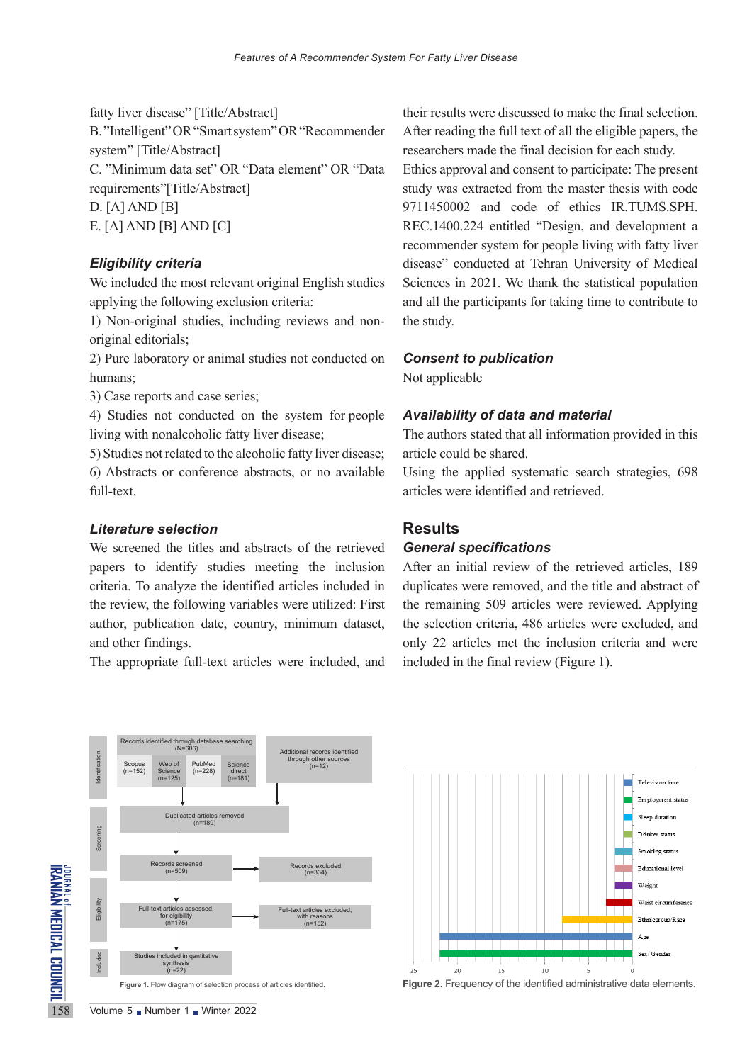fatty liver disease" [Title/Abstract] B. "Intelligent" OR "Smart system" OR "Recommender system" [Title/Abstract] C. "Minimum data set" OR "Data element" OR "Data requirements"[Title/Abstract] D. [A] AND [B] E. [A] AND [B] AND [C]

#### *Eligibility criteria*

We included the most relevant original English studies applying the following exclusion criteria:

1) Non-original studies, including reviews and nonoriginal editorials;

2) Pure laboratory or animal studies not conducted on humans;

3) Case reports and case series;

4) Studies not conducted on the system for people living with nonalcoholic fatty liver disease;

5) Studies not related to the alcoholic fatty liver disease; 6) Abstracts or conference abstracts, or no available full-text.

#### *Literature selection*

We screened the titles and abstracts of the retrieved papers to identify studies meeting the inclusion criteria. To analyze the identified articles included in the review, the following variables were utilized: First author, publication date, country, minimum dataset, and other findings.

The appropriate full-text articles were included, and

their results were discussed to make the final selection. After reading the full text of all the eligible papers, the researchers made the final decision for each study. Ethics approval and consent to participate: The present study was extracted from the master thesis with code 9711450002 and code of ethics IR.TUMS.SPH. REC.1400.224 entitled "Design, and development a recommender system for people living with fatty liver disease" conducted at Tehran University of Medical Sciences in 2021. We thank the statistical population and all the participants for taking time to contribute to the study.

#### *Consent to publication*

Not applicable

#### *Availability of data and material*

The authors stated that all information provided in this article could be shared.

Using the applied systematic search strategies, 698 articles were identified and retrieved.

#### **Results**

#### *General specifications*

After an initial review of the retrieved articles, 189 duplicates were removed, and the title and abstract of the remaining 509 articles were reviewed. Applying the selection criteria, 486 articles were excluded, and only 22 articles met the inclusion criteria and were included in the final review (Figure 1).





**Figure 2.** Frequency of the identified administrative data elements.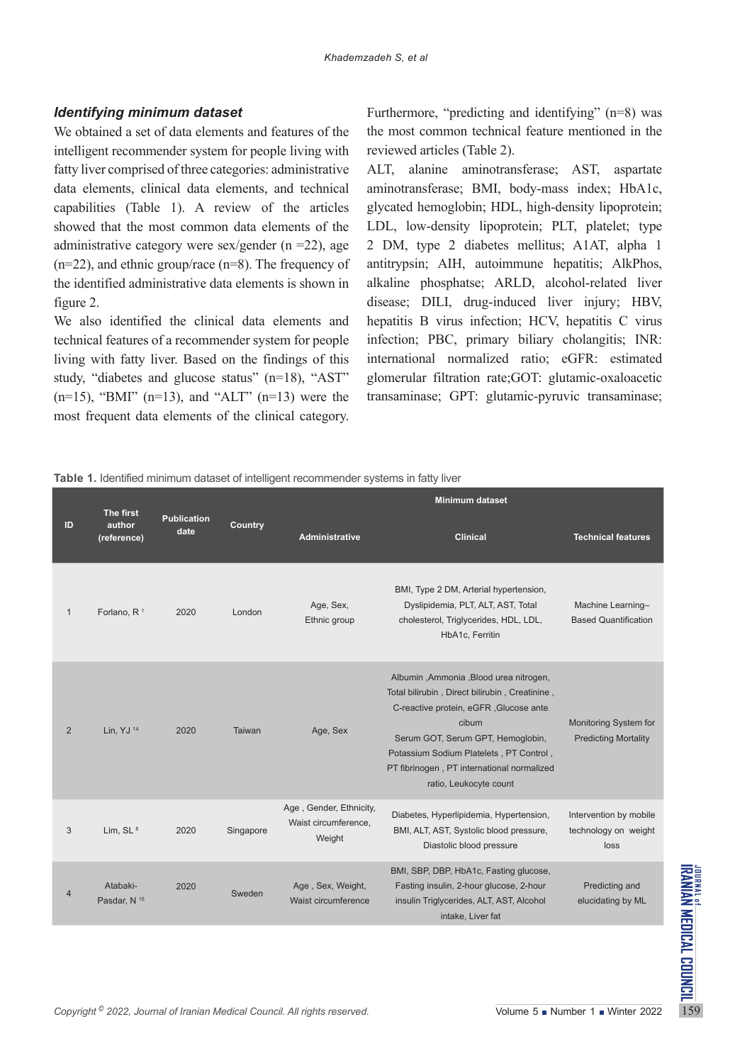### *Identifying minimum dataset*

We obtained a set of data elements and features of the intelligent recommender system for people living with fatty liver comprised of three categories: administrative data elements, clinical data elements, and technical capabilities (Table 1). A review of the articles showed that the most common data elements of the administrative category were sex/gender  $(n = 22)$ , age (n=22), and ethnic group/race (n=8). The frequency of the identified administrative data elements is shown in figure 2.

We also identified the clinical data elements and technical features of a recommender system for people living with fatty liver. Based on the findings of this study, "diabetes and glucose status" (n=18), "AST"  $(n=15)$ , "BMI"  $(n=13)$ , and "ALT"  $(n=13)$  were the most frequent data elements of the clinical category.

Furthermore, "predicting and identifying" (n=8) was the most common technical feature mentioned in the reviewed articles (Table 2).

ALT, alanine aminotransferase; AST, aspartate aminotransferase; BMI, body-mass index; HbA1c, glycated hemoglobin; HDL, high-density lipoprotein; LDL, low-density lipoprotein; PLT, platelet; type 2 DM, type 2 diabetes mellitus; A1AT, alpha 1 antitrypsin; AIH, autoimmune hepatitis; AlkPhos, alkaline phosphatse; ARLD, alcohol-related liver disease; DILI, drug-induced liver injury; HBV, hepatitis B virus infection; HCV, hepatitis C virus infection; PBC, primary biliary cholangitis; INR: international normalized ratio; eGFR: estimated glomerular filtration rate;GOT: glutamic-oxaloacetic transaminase; GPT: glutamic-pyruvic transaminase;

**Table 1.** Identified minimum dataset of intelligent recommender systems in fatty liver

|                | The first                           |                            | $\check{ }$ |                                                                                       | <b>Minimum dataset</b>                                                                                                                                                                                                                                                                              |                                                        |  |
|----------------|-------------------------------------|----------------------------|-------------|---------------------------------------------------------------------------------------|-----------------------------------------------------------------------------------------------------------------------------------------------------------------------------------------------------------------------------------------------------------------------------------------------------|--------------------------------------------------------|--|
| ID             | author<br>(reference)               | <b>Publication</b><br>date | Country     | <b>Administrative</b>                                                                 | <b>Clinical</b>                                                                                                                                                                                                                                                                                     | <b>Technical features</b>                              |  |
| $\mathbf{1}$   | Forlano, R <sup>1</sup>             | 2020                       | London      | Age, Sex,<br>Ethnic group                                                             | BMI, Type 2 DM, Arterial hypertension,<br>Dyslipidemia, PLT, ALT, AST, Total<br>cholesterol, Triglycerides, HDL, LDL,<br>HbA1c, Ferritin                                                                                                                                                            | Machine Learning-<br><b>Based Quantification</b>       |  |
| $\overline{2}$ | Lin, YJ <sup>14</sup>               | 2020                       | Taiwan      | Age, Sex                                                                              | Albumin, Ammonia, Blood urea nitrogen,<br>Total bilirubin, Direct bilirubin, Creatinine,<br>C-reactive protein, eGFR, Glucose ante<br>cibum<br>Serum GOT, Serum GPT, Hemoglobin,<br>Potassium Sodium Platelets, PT Control,<br>PT fibrinogen, PT international normalized<br>ratio, Leukocyte count | Monitoring System for<br><b>Predicting Mortality</b>   |  |
| 3              | Lim, $SL^8$                         | 2020                       | Singapore   | Age, Gender, Ethnicity,<br>Waist circumference,<br>Weight                             | Diabetes, Hyperlipidemia, Hypertension,<br>BMI, ALT, AST, Systolic blood pressure,<br>Diastolic blood pressure                                                                                                                                                                                      | Intervention by mobile<br>technology on weight<br>loss |  |
| 4              | Atabaki-<br>Pasdar, N <sup>15</sup> | 2020                       | Sweden      | Age, Sex, Weight,<br>Waist circumference                                              | BMI, SBP, DBP, HbA1c, Fasting glucose,<br>Fasting insulin, 2-hour glucose, 2-hour<br>insulin Triglycerides, ALT, AST, Alcohol<br>intake, Liver fat                                                                                                                                                  | Predicting and<br>elucidating by ML                    |  |
|                |                                     |                            |             |                                                                                       |                                                                                                                                                                                                                                                                                                     |                                                        |  |
|                |                                     |                            |             | Copyright <sup>©</sup> 2022, Journal of Iranian Medical Council. All rights reserved. |                                                                                                                                                                                                                                                                                                     | Volume 5 Number 1 Winter 2022                          |  |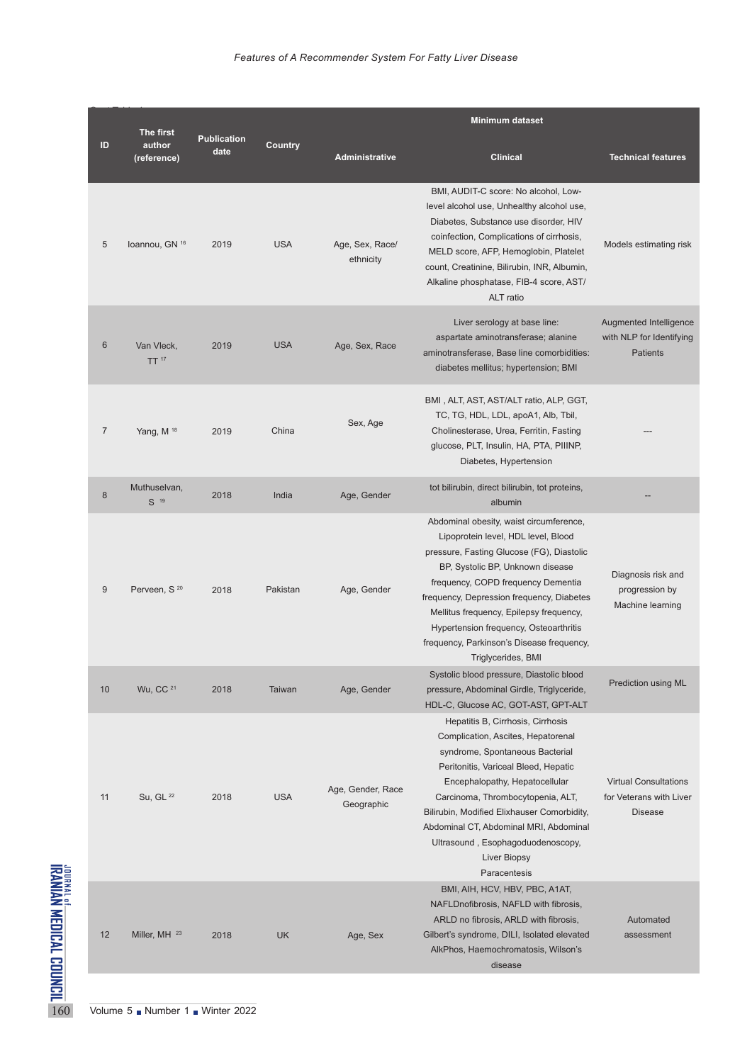|                                                       |                 |                                    |                            |                | <b>Minimum dataset</b>          |                                                                                                                                                                                                                                                                                                                                                                                                            |                                                                           |  |  |
|-------------------------------------------------------|-----------------|------------------------------------|----------------------------|----------------|---------------------------------|------------------------------------------------------------------------------------------------------------------------------------------------------------------------------------------------------------------------------------------------------------------------------------------------------------------------------------------------------------------------------------------------------------|---------------------------------------------------------------------------|--|--|
|                                                       | ID              | The first<br>author<br>(reference) | <b>Publication</b><br>date | <b>Country</b> | <b>Administrative</b>           | <b>Clinical</b>                                                                                                                                                                                                                                                                                                                                                                                            | <b>Technical features</b>                                                 |  |  |
| JOURNAL OF MEDICAL COUNCIL<br>IRANIAN MEDICAL COUNCIL | 5               | Ioannou, GN 16                     | 2019                       | <b>USA</b>     | Age, Sex, Race/<br>ethnicity    | BMI, AUDIT-C score: No alcohol, Low-<br>level alcohol use, Unhealthy alcohol use,<br>Diabetes, Substance use disorder, HIV<br>coinfection, Complications of cirrhosis,<br>MELD score, AFP, Hemoglobin, Platelet<br>count, Creatinine, Bilirubin, INR, Albumin,<br>Alkaline phosphatase, FIB-4 score, AST/<br>ALT ratio                                                                                     | Models estimating risk                                                    |  |  |
|                                                       | $6\phantom{1}6$ | Van Vleck,<br>TT <sup>17</sup>     | 2019                       | <b>USA</b>     | Age, Sex, Race                  | Liver serology at base line:<br>aspartate aminotransferase; alanine<br>aminotransferase, Base line comorbidities:<br>diabetes mellitus; hypertension; BMI                                                                                                                                                                                                                                                  | Augmented Intelligence<br>with NLP for Identifying<br><b>Patients</b>     |  |  |
|                                                       | $\overline{7}$  | Yang, M $18$                       | 2019                       | China          | Sex, Age                        | BMI, ALT, AST, AST/ALT ratio, ALP, GGT,<br>TC, TG, HDL, LDL, apoA1, Alb, Tbil,<br>Cholinesterase, Urea, Ferritin, Fasting<br>glucose, PLT, Insulin, HA, PTA, PIIINP,<br>Diabetes, Hypertension                                                                                                                                                                                                             |                                                                           |  |  |
|                                                       | $\bf 8$         | Muthuselvan,<br>S <sup>19</sup>    | 2018                       | India          | Age, Gender                     | tot bilirubin, direct bilirubin, tot proteins,<br>albumin                                                                                                                                                                                                                                                                                                                                                  |                                                                           |  |  |
|                                                       | 9               | Perveen, S <sup>20</sup>           | 2018                       | Pakistan       | Age, Gender                     | Abdominal obesity, waist circumference,<br>Lipoprotein level, HDL level, Blood<br>pressure, Fasting Glucose (FG), Diastolic<br>BP, Systolic BP, Unknown disease<br>frequency, COPD frequency Dementia<br>frequency, Depression frequency, Diabetes<br>Mellitus frequency, Epilepsy frequency,<br>Hypertension frequency, Osteoarthritis<br>frequency, Parkinson's Disease frequency,<br>Triglycerides, BMI | Diagnosis risk and<br>progression by<br>Machine learning                  |  |  |
|                                                       | 10              | Wu, CC <sup>21</sup>               | 2018                       | Taiwan         | Age, Gender                     | Systolic blood pressure, Diastolic blood<br>pressure, Abdominal Girdle, Triglyceride,<br>HDL-C, Glucose AC, GOT-AST, GPT-ALT                                                                                                                                                                                                                                                                               | Prediction using ML                                                       |  |  |
|                                                       | 11              | Su, GL 22                          | 2018                       | <b>USA</b>     | Age, Gender, Race<br>Geographic | Hepatitis B, Cirrhosis, Cirrhosis<br>Complication, Ascites, Hepatorenal<br>syndrome, Spontaneous Bacterial<br>Peritonitis, Variceal Bleed, Hepatic<br>Encephalopathy, Hepatocellular<br>Carcinoma, Thrombocytopenia, ALT,<br>Bilirubin, Modified Elixhauser Comorbidity,<br>Abdominal CT, Abdominal MRI, Abdominal<br>Ultrasound, Esophagoduodenoscopy,<br><b>Liver Biopsy</b><br>Paracentesis             | <b>Virtual Consultations</b><br>for Veterans with Liver<br><b>Disease</b> |  |  |
|                                                       | 12              | Miller, MH <sup>23</sup>           | 2018                       | <b>UK</b>      | Age, Sex                        | BMI, AIH, HCV, HBV, PBC, A1AT,<br>NAFLDnofibrosis, NAFLD with fibrosis,<br>ARLD no fibrosis, ARLD with fibrosis,<br>Gilbert's syndrome, DILI, Isolated elevated<br>AlkPhos, Haemochromatosis, Wilson's<br>disease                                                                                                                                                                                          | Automated<br>assessment                                                   |  |  |
| 160                                                   |                 | Volume 5 Number 1 Winter 2022      |                            |                |                                 |                                                                                                                                                                                                                                                                                                                                                                                                            |                                                                           |  |  |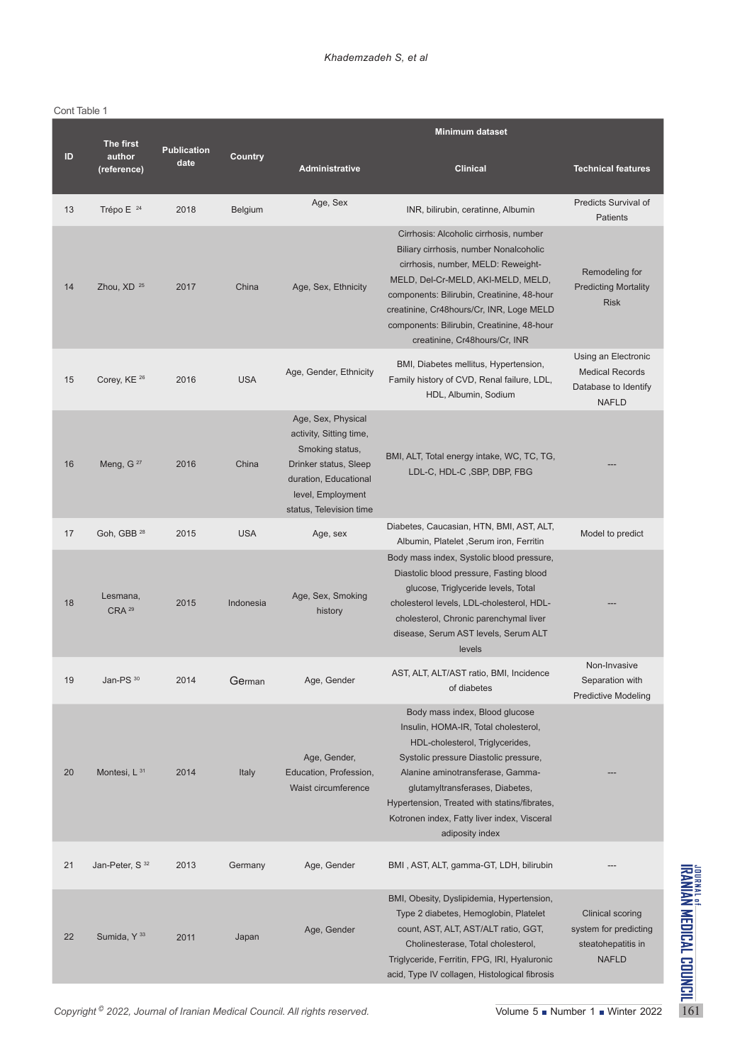#### Cont Table 1

|    | <b>The first</b>              |                            | <b>Minimum dataset</b> |                                                                                                                                                                    |                                                                                                                                                                                                                                                                                                                                             |                                                                                        |  |  |
|----|-------------------------------|----------------------------|------------------------|--------------------------------------------------------------------------------------------------------------------------------------------------------------------|---------------------------------------------------------------------------------------------------------------------------------------------------------------------------------------------------------------------------------------------------------------------------------------------------------------------------------------------|----------------------------------------------------------------------------------------|--|--|
| ID | author<br>(reference)         | <b>Publication</b><br>date | Country                | <b>Administrative</b>                                                                                                                                              | <b>Clinical</b>                                                                                                                                                                                                                                                                                                                             | <b>Technical features</b>                                                              |  |  |
| 13 | Trépo E <sup>24</sup>         | 2018                       | Belgium                | Age, Sex                                                                                                                                                           | INR, bilirubin, ceratinne, Albumin                                                                                                                                                                                                                                                                                                          | Predicts Survival of<br>Patients                                                       |  |  |
| 14 | Zhou, XD <sup>25</sup>        | 2017                       | China                  | Age, Sex, Ethnicity                                                                                                                                                | Cirrhosis: Alcoholic cirrhosis, number<br>Biliary cirrhosis, number Nonalcoholic<br>cirrhosis, number, MELD: Reweight-<br>MELD, Del-Cr-MELD, AKI-MELD, MELD,<br>components: Bilirubin, Creatinine, 48-hour<br>creatinine, Cr48hours/Cr, INR, Loge MELD<br>components: Bilirubin, Creatinine, 48-hour<br>creatinine, Cr48hours/Cr, INR       | Remodeling for<br><b>Predicting Mortality</b><br><b>Risk</b>                           |  |  |
| 15 | Corey, KE <sup>26</sup>       | 2016                       | <b>USA</b>             | Age, Gender, Ethnicity                                                                                                                                             | BMI, Diabetes mellitus, Hypertension,<br>Family history of CVD, Renal failure, LDL,<br>HDL, Albumin, Sodium                                                                                                                                                                                                                                 | Using an Electronic<br><b>Medical Records</b><br>Database to Identify<br><b>NAFLD</b>  |  |  |
| 16 | Meng, G <sup>27</sup>         | 2016                       | China                  | Age, Sex, Physical<br>activity, Sitting time,<br>Smoking status,<br>Drinker status, Sleep<br>duration, Educational<br>level, Employment<br>status, Television time | BMI, ALT, Total energy intake, WC, TC, TG,<br>LDL-C, HDL-C, SBP, DBP, FBG                                                                                                                                                                                                                                                                   |                                                                                        |  |  |
| 17 | Goh, GBB <sup>28</sup>        | 2015                       | <b>USA</b>             | Age, sex                                                                                                                                                           | Diabetes, Caucasian, HTN, BMI, AST, ALT,<br>Albumin, Platelet, Serum iron, Ferritin                                                                                                                                                                                                                                                         | Model to predict                                                                       |  |  |
| 18 | Lesmana,<br>CRA <sup>29</sup> | 2015                       | Indonesia              | Age, Sex, Smoking<br>history                                                                                                                                       | Body mass index, Systolic blood pressure,<br>Diastolic blood pressure, Fasting blood<br>glucose, Triglyceride levels, Total<br>cholesterol levels, LDL-cholesterol, HDL-<br>cholesterol, Chronic parenchymal liver<br>disease, Serum AST levels, Serum ALT<br>levels                                                                        |                                                                                        |  |  |
| 19 | Jan-PS 30                     | 2014                       | German                 | Age, Gender                                                                                                                                                        | AST, ALT, ALT/AST ratio, BMI, Incidence<br>of diabetes                                                                                                                                                                                                                                                                                      | Non-Invasive<br>Separation with<br><b>Predictive Modeling</b>                          |  |  |
| 20 | Montesi, $L^{31}$             | 2014                       | Italy                  | Age, Gender,<br>Education, Profession,<br>Waist circumference                                                                                                      | Body mass index, Blood glucose<br>Insulin, HOMA-IR, Total cholesterol,<br>HDL-cholesterol, Triglycerides,<br>Systolic pressure Diastolic pressure,<br>Alanine aminotransferase, Gamma-<br>glutamyltransferases, Diabetes,<br>Hypertension, Treated with statins/fibrates,<br>Kotronen index, Fatty liver index, Visceral<br>adiposity index |                                                                                        |  |  |
| 21 | Jan-Peter, S <sup>32</sup>    | 2013                       | Germany                | Age, Gender                                                                                                                                                        | BMI, AST, ALT, gamma-GT, LDH, bilirubin                                                                                                                                                                                                                                                                                                     |                                                                                        |  |  |
| 22 | Sumida, Y <sup>33</sup>       | 2011                       | Japan                  | Age, Gender                                                                                                                                                        | BMI, Obesity, Dyslipidemia, Hypertension,<br>Type 2 diabetes, Hemoglobin, Platelet<br>count, AST, ALT, AST/ALT ratio, GGT,<br>Cholinesterase, Total cholesterol,<br>Triglyceride, Ferritin, FPG, IRI, Hyaluronic<br>acid, Type IV collagen, Histological fibrosis                                                                           | <b>Clinical scoring</b><br>system for predicting<br>steatohepatitis in<br><b>NAFLD</b> |  |  |
|    |                               |                            |                        | Copyright <sup>©</sup> 2022, Journal of Iranian Medical Council. All rights reserved.                                                                              |                                                                                                                                                                                                                                                                                                                                             | Volume 5 Number 1 Winter 2022                                                          |  |  |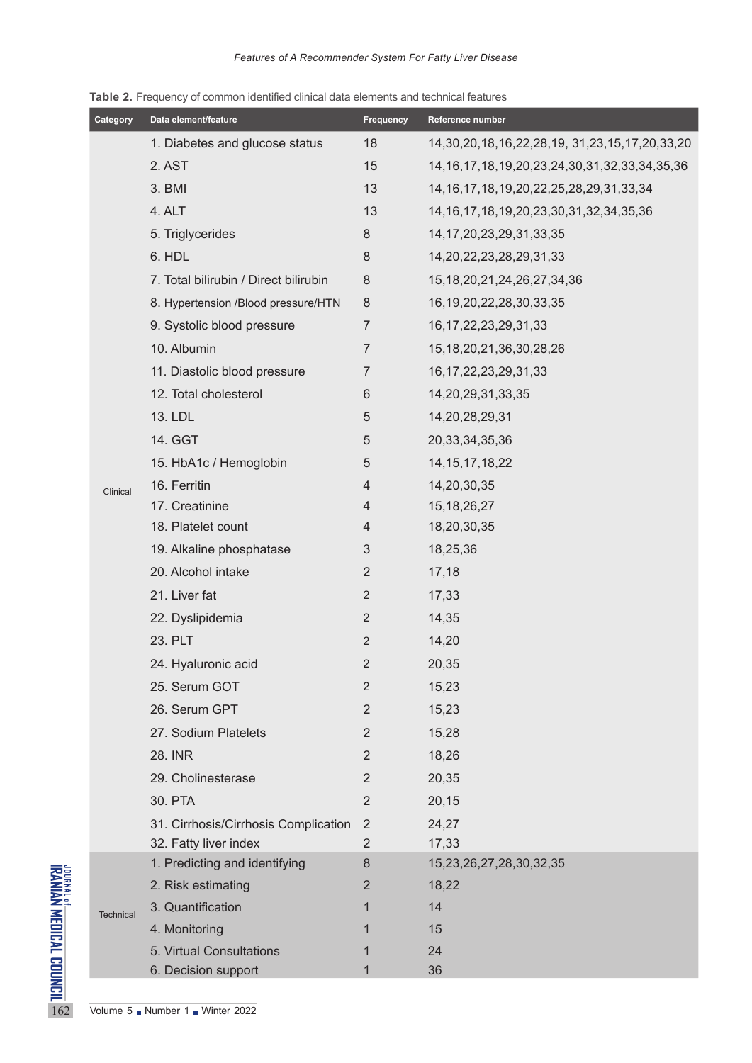|                                                                         | Category                      | Data element/feature                  | <b>Frequency</b> | Reference number                                           |  |  |  |
|-------------------------------------------------------------------------|-------------------------------|---------------------------------------|------------------|------------------------------------------------------------|--|--|--|
|                                                                         |                               | 1. Diabetes and glucose status        | 18               | 14, 30, 20, 18, 16, 22, 28, 19, 31, 23, 15, 17, 20, 33, 20 |  |  |  |
|                                                                         |                               | 2. AST                                | 15               | 14, 16, 17, 18, 19, 20, 23, 24, 30, 31, 32, 33, 34, 35, 36 |  |  |  |
|                                                                         | Clinical                      | 3. BMI                                | 13               | 14, 16, 17, 18, 19, 20, 22, 25, 28, 29, 31, 33, 34         |  |  |  |
|                                                                         |                               | 4. ALT                                | 13               | 14, 16, 17, 18, 19, 20, 23, 30, 31, 32, 34, 35, 36         |  |  |  |
|                                                                         |                               | 5. Triglycerides                      | 8                | 14, 17, 20, 23, 29, 31, 33, 35                             |  |  |  |
|                                                                         |                               | 6. HDL                                | 8                | 14, 20, 22, 23, 28, 29, 31, 33                             |  |  |  |
|                                                                         |                               | 7. Total bilirubin / Direct bilirubin | $\,8\,$          | 15, 18, 20, 21, 24, 26, 27, 34, 36                         |  |  |  |
|                                                                         |                               | 8. Hypertension /Blood pressure/HTN   | $8\phantom{1}$   | 16, 19, 20, 22, 28, 30, 33, 35                             |  |  |  |
|                                                                         |                               | 9. Systolic blood pressure            | $\overline{7}$   | 16, 17, 22, 23, 29, 31, 33                                 |  |  |  |
|                                                                         |                               | 10. Albumin                           | 7                | 15, 18, 20, 21, 36, 30, 28, 26                             |  |  |  |
|                                                                         |                               | 11. Diastolic blood pressure          | 7                | 16, 17, 22, 23, 29, 31, 33                                 |  |  |  |
|                                                                         |                               | 12. Total cholesterol                 | $6\phantom{1}$   | 14,20,29,31,33,35                                          |  |  |  |
|                                                                         |                               | 13. LDL                               | 5                | 14,20,28,29,31                                             |  |  |  |
|                                                                         |                               | 14. GGT                               | 5                | 20, 33, 34, 35, 36                                         |  |  |  |
|                                                                         |                               | 15. HbA1c / Hemoglobin                | 5                | 14, 15, 17, 18, 22                                         |  |  |  |
|                                                                         |                               | 16. Ferritin                          | 4                | 14,20,30,35                                                |  |  |  |
|                                                                         |                               | 17. Creatinine                        | $\overline{4}$   | 15, 18, 26, 27                                             |  |  |  |
|                                                                         |                               | 18. Platelet count                    | 4                | 18,20,30,35                                                |  |  |  |
|                                                                         |                               | 19. Alkaline phosphatase              | 3                | 18,25,36                                                   |  |  |  |
|                                                                         |                               | 20. Alcohol intake                    | $\overline{2}$   | 17,18                                                      |  |  |  |
|                                                                         |                               | 21. Liver fat                         | 2                | 17,33                                                      |  |  |  |
|                                                                         |                               | 22. Dyslipidemia                      | $\sqrt{2}$       | 14,35                                                      |  |  |  |
|                                                                         |                               | 23. PLT                               | $\overline{2}$   | 14,20                                                      |  |  |  |
|                                                                         |                               | 24. Hyaluronic acid                   | $\overline{2}$   | 20,35                                                      |  |  |  |
|                                                                         |                               | 25. Serum GOT                         | 2                | 15,23                                                      |  |  |  |
|                                                                         |                               | 26. Serum GPT                         | 2                | 15,23                                                      |  |  |  |
|                                                                         |                               | 27. Sodium Platelets                  | $\overline{2}$   | 15,28                                                      |  |  |  |
|                                                                         |                               | 28. INR                               | 2                | 18,26                                                      |  |  |  |
|                                                                         |                               | 29. Cholinesterase                    | 2                | 20,35                                                      |  |  |  |
|                                                                         |                               | 30. PTA                               | $\overline{2}$   | 20,15                                                      |  |  |  |
|                                                                         |                               | 31. Cirrhosis/Cirrhosis Complication  | $\overline{2}$   | 24,27                                                      |  |  |  |
|                                                                         |                               | 32. Fatty liver index                 | $\overline{2}$   | 17,33                                                      |  |  |  |
|                                                                         | <b>Technical</b>              | 1. Predicting and identifying         | 8                | 15,23,26,27,28,30,32,35                                    |  |  |  |
|                                                                         |                               | 2. Risk estimating                    | 2                | 18,22                                                      |  |  |  |
|                                                                         |                               | 3. Quantification                     | 1                | 14                                                         |  |  |  |
|                                                                         |                               | 4. Monitoring                         | 1                | 15                                                         |  |  |  |
|                                                                         |                               | 5. Virtual Consultations              |                  | 24                                                         |  |  |  |
| <sup>JOURNAL of</sup> <b>MEDICAL COUNCIL</b><br>IRANIAN MEDICAL COUNCIL |                               | 6. Decision support                   | 1                | 36                                                         |  |  |  |
| 162                                                                     | Volume 5 Number 1 Winter 2022 |                                       |                  |                                                            |  |  |  |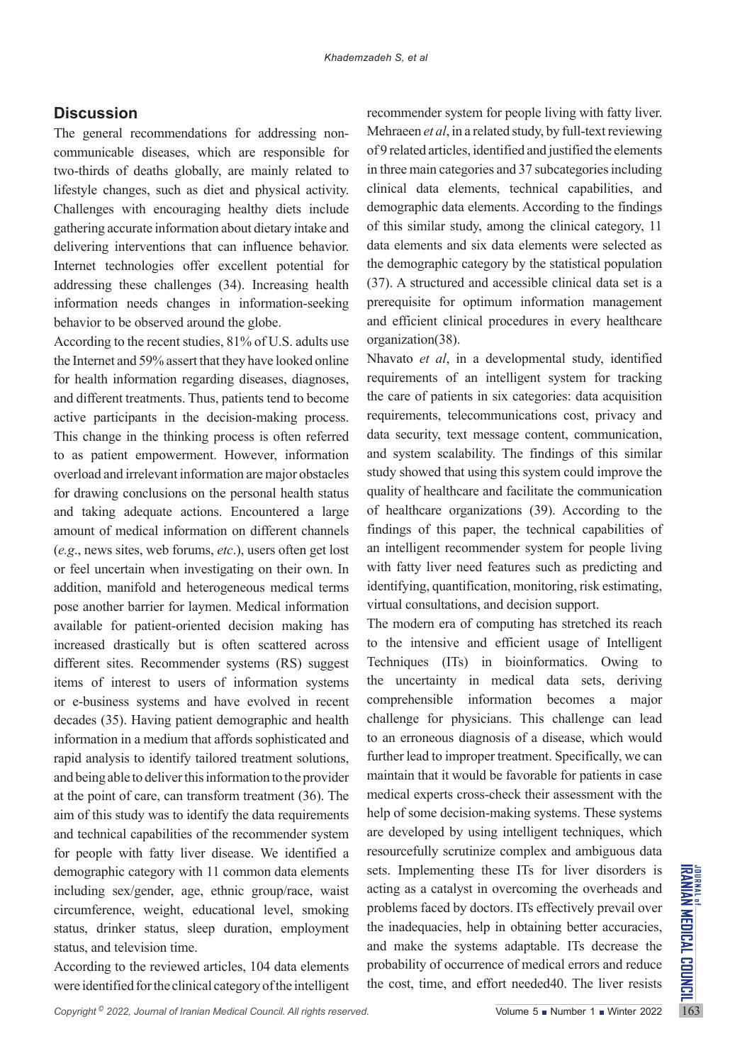# **Discussion**

The general recommendations for addressing noncommunicable diseases, which are responsible for two-thirds of deaths globally, are mainly related to lifestyle changes, such as diet and physical activity. Challenges with encouraging healthy diets include gathering accurate information about dietary intake and delivering interventions that can influence behavior. Internet technologies offer excellent potential for addressing these challenges (34). Increasing health information needs changes in information-seeking behavior to be observed around the globe.

According to the recent studies, 81% of U.S. adults use the Internet and 59% assert that they have looked online for health information regarding diseases, diagnoses, and different treatments. Thus, patients tend to become active participants in the decision-making process. This change in the thinking process is often referred to as patient empowerment. However, information overload and irrelevant information are major obstacles for drawing conclusions on the personal health status and taking adequate actions. Encountered a large amount of medical information on different channels (*e.g*., news sites, web forums, *etc*.), users often get lost or feel uncertain when investigating on their own. In addition, manifold and heterogeneous medical terms pose another barrier for laymen. Medical information available for patient-oriented decision making has increased drastically but is often scattered across different sites. Recommender systems (RS) suggest items of interest to users of information systems or e-business systems and have evolved in recent decades (35). Having patient demographic and health information in a medium that affords sophisticated and rapid analysis to identify tailored treatment solutions, and being able to deliver this information to the provider at the point of care, can transform treatment (36). The aim of this study was to identify the data requirements and technical capabilities of the recommender system for people with fatty liver disease. We identified a demographic category with 11 common data elements including sex/gender, age, ethnic group/race, waist circumference, weight, educational level, smoking status, drinker status, sleep duration, employment status, and television time.

According to the reviewed articles, 104 data elements were identified for the clinical category of the intelligent

recommender system for people living with fatty liver. Mehraeen *et al*, in a related study, by full-text reviewing of 9 related articles, identified and justified the elements in three main categories and 37 subcategories including clinical data elements, technical capabilities, and demographic data elements. According to the findings of this similar study, among the clinical category, 11 data elements and six data elements were selected as the demographic category by the statistical population (37). A structured and accessible clinical data set is a prerequisite for optimum information management and efficient clinical procedures in every healthcare organization(38).

Nhavato *et al*, in a developmental study, identified requirements of an intelligent system for tracking the care of patients in six categories: data acquisition requirements, telecommunications cost, privacy and data security, text message content, communication, and system scalability. The findings of this similar study showed that using this system could improve the quality of healthcare and facilitate the communication of healthcare organizations (39). According to the findings of this paper, the technical capabilities of an intelligent recommender system for people living with fatty liver need features such as predicting and identifying, quantification, monitoring, risk estimating, virtual consultations, and decision support.

demographic category with 11 common data elements sets. Implementing these ITs for liver disorders is<br>including sex/gender, age, ethnic group/race, waist acting as a catalyst in overcoming the overheads and<br>circumference, The modern era of computing has stretched its reach to the intensive and efficient usage of Intelligent Techniques (ITs) in bioinformatics. Owing to the uncertainty in medical data sets, deriving comprehensible information becomes a major challenge for physicians. This challenge can lead to an erroneous diagnosis of a disease, which would further lead to improper treatment. Specifically, we can maintain that it would be favorable for patients in case medical experts cross-check their assessment with the help of some decision-making systems. These systems are developed by using intelligent techniques, which resourcefully scrutinize complex and ambiguous data sets. Implementing these ITs for liver disorders is acting as a catalyst in overcoming the overheads and problems faced by doctors. ITs effectively prevail over the inadequacies, help in obtaining better accuracies, and make the systems adaptable. ITs decrease the probability of occurrence of medical errors and reduce the cost, time, and effort needed40. The liver resists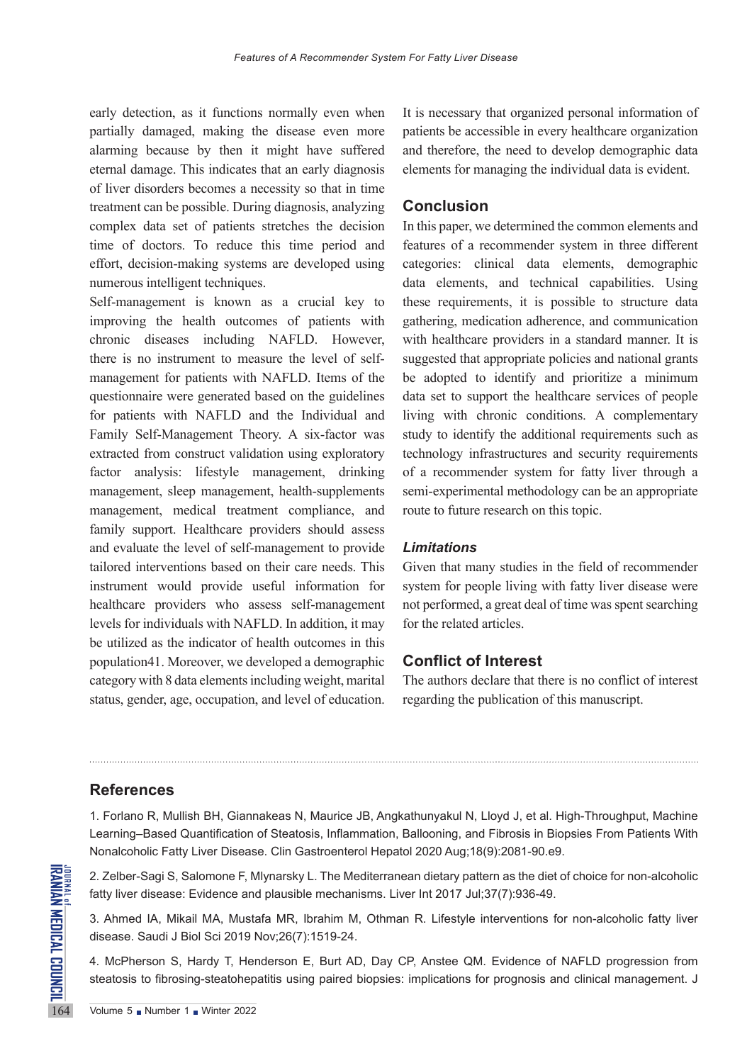early detection, as it functions normally even when partially damaged, making the disease even more alarming because by then it might have suffered eternal damage. This indicates that an early diagnosis of liver disorders becomes a necessity so that in time treatment can be possible. During diagnosis, analyzing complex data set of patients stretches the decision time of doctors. To reduce this time period and effort, decision-making systems are developed using numerous intelligent techniques.

Self-management is known as a crucial key to improving the health outcomes of patients with chronic diseases including NAFLD. However, there is no instrument to measure the level of selfmanagement for patients with NAFLD. Items of the questionnaire were generated based on the guidelines for patients with NAFLD and the Individual and Family Self-Management Theory. A six-factor was extracted from construct validation using exploratory factor analysis: lifestyle management, drinking management, sleep management, health-supplements management, medical treatment compliance, and family support. Healthcare providers should assess and evaluate the level of self-management to provide tailored interventions based on their care needs. This instrument would provide useful information for healthcare providers who assess self-management levels for individuals with NAFLD. In addition, it may be utilized as the indicator of health outcomes in this population41. Moreover, we developed a demographic category with 8 data elements including weight, marital status, gender, age, occupation, and level of education.

It is necessary that organized personal information of patients be accessible in every healthcare organization and therefore, the need to develop demographic data elements for managing the individual data is evident.

# **Conclusion**

In this paper, we determined the common elements and features of a recommender system in three different categories: clinical data elements, demographic data elements, and technical capabilities. Using these requirements, it is possible to structure data gathering, medication adherence, and communication with healthcare providers in a standard manner. It is suggested that appropriate policies and national grants be adopted to identify and prioritize a minimum data set to support the healthcare services of people living with chronic conditions. A complementary study to identify the additional requirements such as technology infrastructures and security requirements of a recommender system for fatty liver through a semi-experimental methodology can be an appropriate route to future research on this topic.

### *Limitations*

Given that many studies in the field of recommender system for people living with fatty liver disease were not performed, a great deal of time was spent searching for the related articles.

# **Conflict of Interest**

The authors declare that there is no conflict of interest regarding the publication of this manuscript.

# **References**

1. Forlano R, Mullish BH, Giannakeas N, Maurice JB, Angkathunyakul N, Lloyd J, et al. High-Throughput, Machine Learning–Based Quantification of Steatosis, Inflammation, Ballooning, and Fibrosis in Biopsies From Patients With Nonalcoholic Fatty Liver Disease. Clin Gastroenterol Hepatol 2020 Aug;18(9):2081-90.e9.

2. Zelber-Sagi S, Salomone F, Mlynarsky L. The Mediterranean dietary pattern as the diet of choice for non-alcoholic fatty liver disease: Evidence and plausible mechanisms. Liver Int 2017 Jul;37(7):936-49.

3. Ahmed IA, Mikail MA, Mustafa MR, Ibrahim M, Othman R. Lifestyle interventions for non-alcoholic fatty liver disease. Saudi J Biol Sci 2019 Nov;26(7):1519-24.

2. Zelber-Sagi S, Salomone F, M<br> **EXAMPLE 21.**<br>
164 SIMBLE 2019<br>
164 Winter disease. Evidence and<br>
3. Ahmed IA, Mikail MA, Mustardisease. Saudi J Biol Sci 2019<br>
164 Volume 5 Number 1 Number 2022 4. McPherson S, Hardy T, Henderson E, Burt AD, Day CP, Anstee QM. Evidence of NAFLD progression from steatosis to fibrosing-steatohepatitis using paired biopsies: implications for prognosis and clinical management. J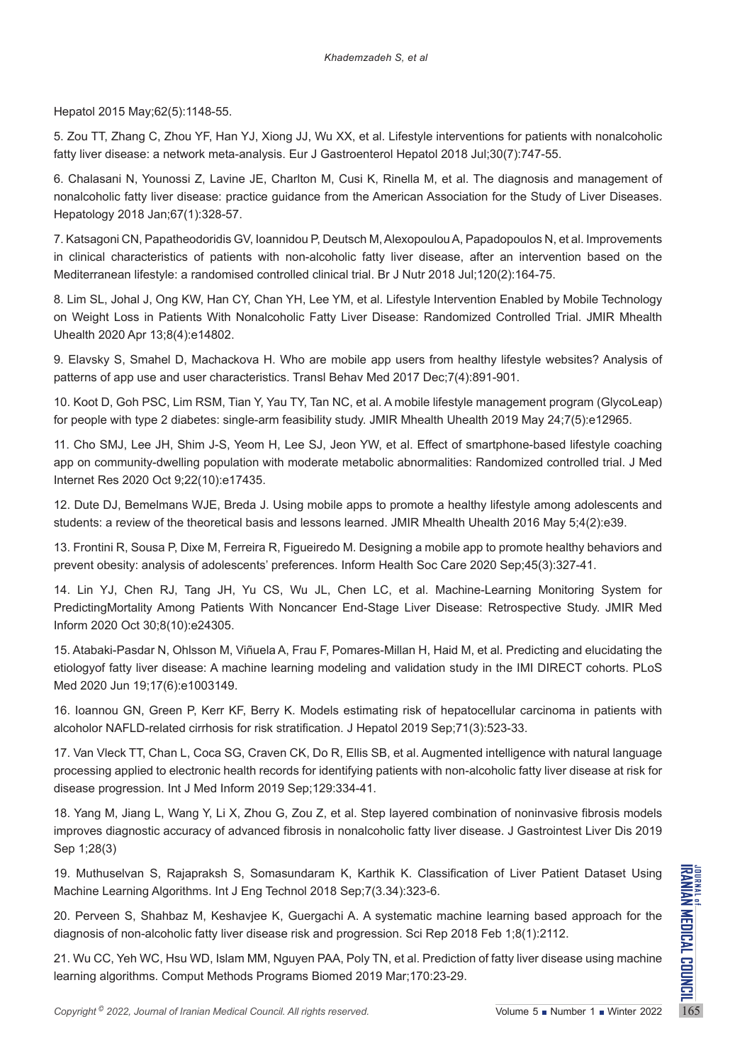Hepatol 2015 May;62(5):1148-55.

5. Zou TT, Zhang C, Zhou YF, Han YJ, Xiong JJ, Wu XX, et al. Lifestyle interventions for patients with nonalcoholic fatty liver disease: a network meta-analysis. Eur J Gastroenterol Hepatol 2018 Jul;30(7):747-55.

6. Chalasani N, Younossi Z, Lavine JE, Charlton M, Cusi K, Rinella M, et al. The diagnosis and management of nonalcoholic fatty liver disease: practice guidance from the American Association for the Study of Liver Diseases. Hepatology 2018 Jan;67(1):328-57.

7. Katsagoni CN, Papatheodoridis GV, Ioannidou P, Deutsch M, Alexopoulou A, Papadopoulos N, et al. Improvements in clinical characteristics of patients with non-alcoholic fatty liver disease, after an intervention based on the Mediterranean lifestyle: a randomised controlled clinical trial. Br J Nutr 2018 Jul;120(2):164-75.

8. Lim SL, Johal J, Ong KW, Han CY, Chan YH, Lee YM, et al. Lifestyle Intervention Enabled by Mobile Technology on Weight Loss in Patients With Nonalcoholic Fatty Liver Disease: Randomized Controlled Trial. JMIR Mhealth Uhealth 2020 Apr 13;8(4):e14802.

9. Elavsky S, Smahel D, Machackova H. Who are mobile app users from healthy lifestyle websites? Analysis of patterns of app use and user characteristics. Transl Behav Med 2017 Dec;7(4):891-901.

10. Koot D, Goh PSC, Lim RSM, Tian Y, Yau TY, Tan NC, et al. A mobile lifestyle management program (GlycoLeap) for people with type 2 diabetes: single-arm feasibility study. JMIR Mhealth Uhealth 2019 May 24;7(5):e12965.

11. Cho SMJ, Lee JH, Shim J-S, Yeom H, Lee SJ, Jeon YW, et al. Effect of smartphone-based lifestyle coaching app on community-dwelling population with moderate metabolic abnormalities: Randomized controlled trial. J Med Internet Res 2020 Oct 9;22(10):e17435.

12. Dute DJ, Bemelmans WJE, Breda J. Using mobile apps to promote a healthy lifestyle among adolescents and students: a review of the theoretical basis and lessons learned. JMIR Mhealth Uhealth 2016 May 5;4(2):e39.

13. Frontini R, Sousa P, Dixe M, Ferreira R, Figueiredo M. Designing a mobile app to promote healthy behaviors and prevent obesity: analysis of adolescents' preferences. Inform Health Soc Care 2020 Sep;45(3):327-41.

14. Lin YJ, Chen RJ, Tang JH, Yu CS, Wu JL, Chen LC, et al. Machine-Learning Monitoring System for PredictingMortality Among Patients With Noncancer End-Stage Liver Disease: Retrospective Study. JMIR Med Inform 2020 Oct 30;8(10):e24305.

15. Atabaki-Pasdar N, Ohlsson M, Viñuela A, Frau F, Pomares-Millan H, Haid M, et al. Predicting and elucidating the etiologyof fatty liver disease: A machine learning modeling and validation study in the IMI DIRECT cohorts. PLoS Med 2020 Jun 19;17(6):e1003149.

16. Ioannou GN, Green P, Kerr KF, Berry K. Models estimating risk of hepatocellular carcinoma in patients with alcoholor NAFLD-related cirrhosis for risk stratification. J Hepatol 2019 Sep;71(3):523-33.

17. Van Vleck TT, Chan L, Coca SG, Craven CK, Do R, Ellis SB, et al. Augmented intelligence with natural language processing applied to electronic health records for identifying patients with non-alcoholic fatty liver disease at risk for disease progression. Int J Med Inform 2019 Sep;129:334-41.

18. Yang M, Jiang L, Wang Y, Li X, Zhou G, Zou Z, et al. Step layered combination of noninvasive fibrosis models improves diagnostic accuracy of advanced fibrosis in nonalcoholic fatty liver disease. J Gastrointest Liver Dis 2019 Sep 1;28(3)

19. Muthuselvan S, Rajapraksh S, Somasundaram K, Karthik K. Classification of Liver Patient Dataset Using Machine Learning Algorithms. Int J Eng Technol 2018 Sep;7(3.34):323-6.

**Copyright <sup>©</sup>** 2022, *Journal of Iranian Medical Council. All rights reserved.<br>
Copyright® 2022, <i>Derveen* S, Shahbaz M, Keshavjee K, Guergachi A. A systematic machine learning based approach for the diagnosis of non-alc 20. Perveen S, Shahbaz M, Keshavjee K, Guergachi A. A systematic machine learning based approach for the diagnosis of non-alcoholic fatty liver disease risk and progression. Sci Rep 2018 Feb 1;8(1):2112.

21. Wu CC, Yeh WC, Hsu WD, Islam MM, Nguyen PAA, Poly TN, et al. Prediction of fatty liver disease using machine learning algorithms. Comput Methods Programs Biomed 2019 Mar;170:23-29.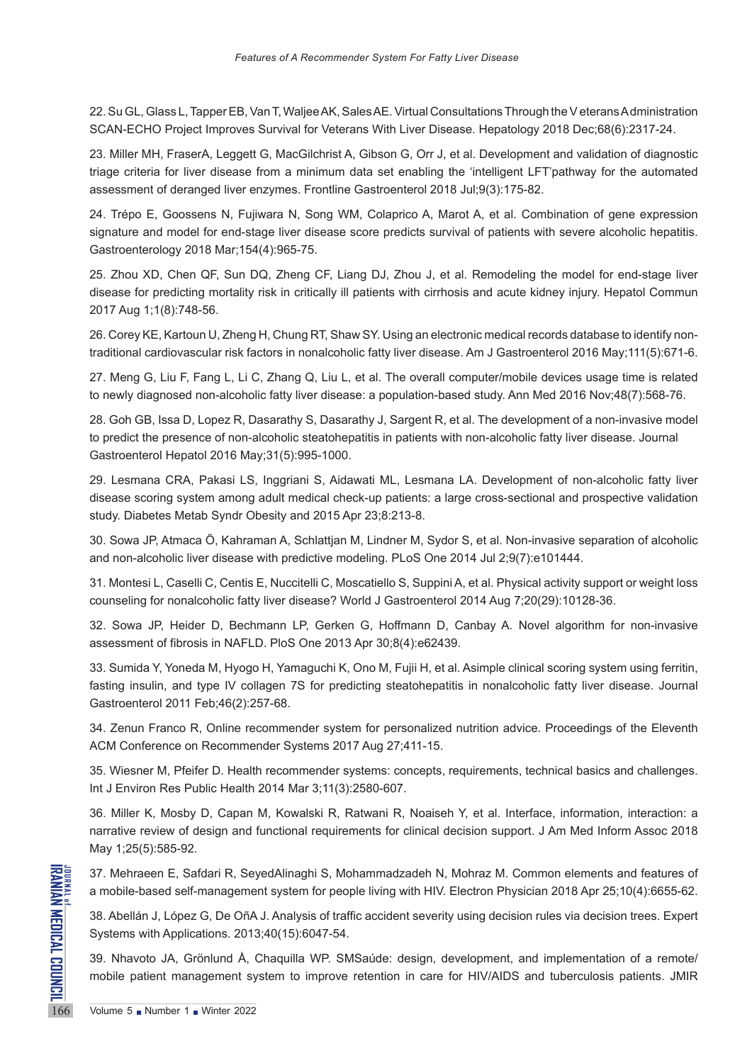22. Su GL, Glass L, Tapper EB, Van T, Waljee AK, Sales AE. Virtual Consultations Through the V eterans A dministration SCAN-ECHO Project Improves Survival for Veterans With Liver Disease. Hepatology 2018 Dec;68(6):2317-24.

23. Miller MH, FraserA, Leggett G, MacGilchrist A, Gibson G, Orr J, et al. Development and validation of diagnostic triage criteria for liver disease from a minimum data set enabling the 'intelligent LFT'pathway for the automated assessment of deranged liver enzymes. Frontline Gastroenterol 2018 Jul;9(3):175-82.

24. Trépo E, Goossens N, Fujiwara N, Song WM, Colaprico A, Marot A, et al. Combination of gene expression signature and model for end-stage liver disease score predicts survival of patients with severe alcoholic hepatitis. Gastroenterology 2018 Mar;154(4):965-75.

25. Zhou XD, Chen QF, Sun DQ, Zheng CF, Liang DJ, Zhou J, et al. Remodeling the model for end-stage liver disease for predicting mortality risk in critically ill patients with cirrhosis and acute kidney injury. Hepatol Commun 2017 Aug 1;1(8):748-56.

26. Corey KE, Kartoun U, Zheng H, Chung RT, Shaw SY. Using an electronic medical records database to identify nontraditional cardiovascular risk factors in nonalcoholic fatty liver disease. Am J Gastroenterol 2016 May;111(5):671-6.

27. Meng G, Liu F, Fang L, Li C, Zhang Q, Liu L, et al. The overall computer/mobile devices usage time is related to newly diagnosed non-alcoholic fatty liver disease: a population-based study. Ann Med 2016 Nov;48(7):568-76.

28. Goh GB, Issa D, Lopez R, Dasarathy S, Dasarathy J, Sargent R, et al. The development of a non-invasive model to predict the presence of non-alcoholic steatohepatitis in patients with non-alcoholic fatty liver disease. Journal Gastroenterol Hepatol 2016 May;31(5):995-1000.

29. Lesmana CRA, Pakasi LS, Inggriani S, Aidawati ML, Lesmana LA. Development of non-alcoholic fatty liver disease scoring system among adult medical check-up patients: a large cross-sectional and prospective validation study. Diabetes Metab Syndr Obesity and 2015 Apr 23;8:213-8.

30. Sowa JP, Atmaca Ö, Kahraman A, Schlattjan M, Lindner M, Sydor S, et al. Non-invasive separation of alcoholic and non-alcoholic liver disease with predictive modeling. PLoS One 2014 Jul 2;9(7):e101444.

31. Montesi L, Caselli C, Centis E, Nuccitelli C, Moscatiello S, Suppini A, et al. Physical activity support or weight loss counseling for nonalcoholic fatty liver disease? World J Gastroenterol 2014 Aug 7;20(29):10128-36.

32. Sowa JP, Heider D, Bechmann LP, Gerken G, Hoffmann D, Canbay A. Novel algorithm for non-invasive assessment of fibrosis in NAFLD. PloS One 2013 Apr 30;8(4):e62439.

33. Sumida Y, Yoneda M, Hyogo H, Yamaguchi K, Ono M, Fujii H, et al. Asimple clinical scoring system using ferritin, fasting insulin, and type IV collagen 7S for predicting steatohepatitis in nonalcoholic fatty liver disease. Journal Gastroenterol 2011 Feb;46(2):257-68.

34. Zenun Franco R, Online recommender system for personalized nutrition advice. Proceedings of the Eleventh ACM Conference on Recommender Systems 2017 Aug 27;411-15.

35. Wiesner M, Pfeifer D. Health recommender systems: concepts, requirements, technical basics and challenges. Int J Environ Res Public Health 2014 Mar 3;11(3):2580-607.

36. Miller K, Mosby D, Capan M, Kowalski R, Ratwani R, Noaiseh Y, et al. Interface, information, interaction: a narrative review of design and functional requirements for clinical decision support. J Am Med Inform Assoc 2018 May 1;25(5):585-92.

37. Mehraeen E, Safdari R, Sey<br>
a mobile-based self-manageme<br>
38. Abellán J, López G, De OñA<br>
Systems with Applications. 2013<br>
39. Nhavoto JA, Grönlund Å, (<br>
mobile patient management sy<br>
Volume 5 Number 1 Nunter 2022 37. Mehraeen E, Safdari R, SeyedAlinaghi S, Mohammadzadeh N, Mohraz M. Common elements and features of a mobile-based self-management system for people living with HIV. Electron Physician 2018 Apr 25;10(4):6655-62.

38. Abellán J, López G, De OñA J. Analysis of traffic accident severity using decision rules via decision trees. Expert Systems with Applications. 2013;40(15):6047-54.

39. Nhavoto JA, Grönlund Å, Chaquilla WP. SMSaúde: design, development, and implementation of a remote/ mobile patient management system to improve retention in care for HIV/AIDS and tuberculosis patients. JMIR